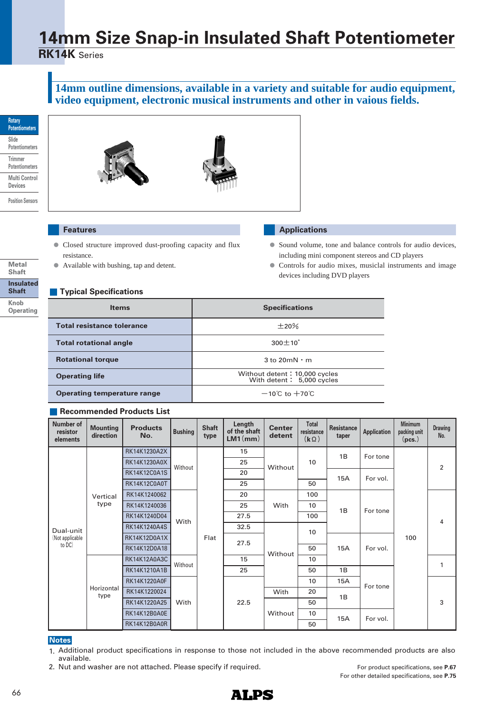# **14mm Size Snap-in Insulated Shaft Potentiometer**

**RK14K** Series

### **14mm outline dimensions, available in a variety and suitable for audio equipment, video equipment, electronic musical instruments and other in vaious fields.**

#### **Rotary Potentiometers Slide Potentiometers Trimmer Potentiometers Multi Control Devices Position Sensors**

**Insulated Shaft**

**Metal Shaft**

**Knob Operating**





## **Features**

- Closed structure improved dust-proofing capacity and flux **●** resistance.
- **●** Available with bushing, tap and detent.

#### **Applications**

- Sound volume, tone and balance controls for audio devices, including mini component stereos and CD players
- Controls for audio mixes, musiclal instruments and image devices including DVD players

## **Typical Specifications**

| <b>Items</b>                       | <b>Specifications</b>                                      |
|------------------------------------|------------------------------------------------------------|
| <b>Total resistance tolerance</b>  | $\pm 20\%$                                                 |
| <b>Total rotational angle</b>      | $300 \pm 10^{\circ}$                                       |
| <b>Rotational torque</b>           | $3 \text{ to } 20 \text{ mN} \cdot \text{m}$               |
| <b>Operating life</b>              | Without detent: 10,000 cycles<br>With detent: 5,000 cycles |
| <b>Operating temperature range</b> | $-10^{\circ}$ C to $+70^{\circ}$ C                         |

#### **Recommended Products List**

| Number of<br>resistor<br>elements | <b>Mounting</b><br>direction | <b>Products</b><br>No. | <b>Bushing</b> | <b>Shaft</b><br>type | Length<br>of the shaft<br>$LM1$ (mm) | <b>Center</b><br>detent | <b>Total</b><br>resistance<br>$(k \Omega)$ | <b>Resistance</b><br>taper | <b>Application</b>   | <b>Minimum</b><br>packing unit<br>(pcs.) | <b>Drawing</b><br>No. |
|-----------------------------------|------------------------------|------------------------|----------------|----------------------|--------------------------------------|-------------------------|--------------------------------------------|----------------------------|----------------------|------------------------------------------|-----------------------|
|                                   |                              | RK14K1230A2X           |                | Flat                 | 15                                   | Without                 |                                            | 1B                         | For tone             | 100                                      |                       |
|                                   |                              | RK14K1230A0X           | Without        |                      | 25                                   |                         | 10                                         |                            |                      |                                          | 2                     |
|                                   |                              | <b>RK14K12C0A1S</b>    |                |                      | 20                                   |                         |                                            | 15A                        | For vol.             |                                          |                       |
|                                   |                              | <b>RK14K12C0A0T</b>    |                |                      | 25                                   |                         | 50                                         |                            |                      |                                          |                       |
|                                   | Vertical                     | RK14K1240062           |                |                      | 20                                   | With                    | 100                                        | 1B                         | For tone             |                                          |                       |
| type                              |                              | RK14K1240036           |                |                      | 25                                   |                         | 10                                         |                            |                      |                                          | 4                     |
|                                   |                              | RK14K1240D04           | With           |                      | 27.5                                 |                         | 100                                        |                            |                      |                                          |                       |
| Dual-unit                         |                              | RK14K1240A4S           |                |                      | 32.5                                 |                         |                                            | 10<br>50<br><b>15A</b>     |                      |                                          |                       |
| (Not applicable                   |                              | RK14K12D0A1X           |                |                      | 27.5                                 |                         |                                            |                            | For vol.<br>For tone |                                          |                       |
| to DC)                            |                              | RK14K12D0A18           |                |                      |                                      | Without                 |                                            |                            |                      |                                          |                       |
|                                   |                              | <b>RK14K12A0A3C</b>    | Without        |                      | 15                                   |                         | 10                                         |                            |                      |                                          | 1                     |
|                                   |                              | RK14K1210A1B           |                |                      | 25                                   |                         | 50                                         | 1B                         |                      |                                          |                       |
|                                   |                              | RK14K1220A0F           |                | With                 |                                      |                         | 10                                         | 15A                        |                      |                                          | 3                     |
|                                   | Horizontal<br>type           | RK14K1220024           |                |                      | 22.5                                 | With                    | 20                                         | 1B                         |                      |                                          |                       |
|                                   |                              | RK14K1220A25           |                |                      |                                      |                         | 50                                         |                            |                      |                                          |                       |
|                                   |                              | <b>RK14K12B0A0E</b>    |                |                      |                                      | Without                 | 10                                         | 15A                        | For vol.             |                                          |                       |
|                                   |                              | RK14K12B0A0R           |                |                      |                                      |                         | 50                                         |                            |                      |                                          |                       |

#### **Notes**

- 1. Additional product specifications in response to those not included in the above recommended products are also available.
- 2. Nut and washer are not attached. Please specify if required.

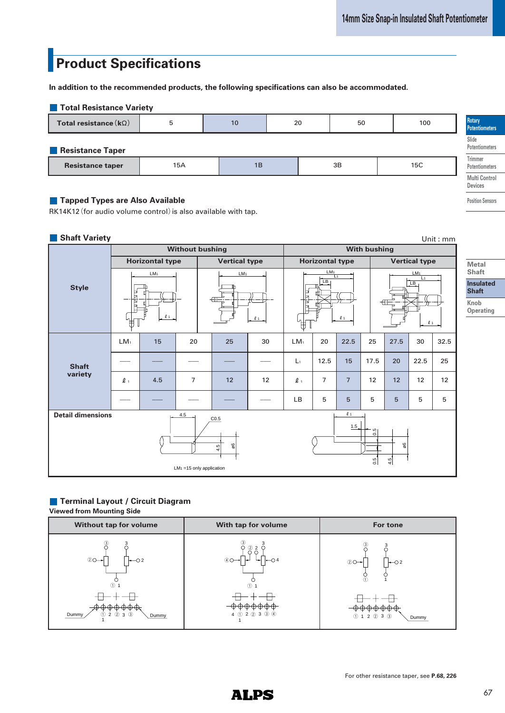# **Product Specifications**

**In addition to the recommended products, the following specifications can also be accommodated.** 

| <b>Total Resistance Variety</b> |     |          |  |    |  |     |  |                                  |
|---------------------------------|-----|----------|--|----|--|-----|--|----------------------------------|
| Total resistance $(k\Omega)$    | 5   | 20<br>10 |  | 50 |  | 100 |  | Rotary<br><b>Potentiometers</b>  |
| Resistance Taper                |     |          |  |    |  |     |  | Slide<br>Potentiometers          |
| <b>Resistance taper</b>         | 15A | 1B       |  | 3B |  | 15C |  | <b>Trimmer</b><br>Potentiometers |
|                                 |     |          |  |    |  |     |  | <b>Multi Control</b>             |

#### **Tapped Types are Also Available**

RK14K12 (for audio volume control) is also available with tap.

#### **Shaft Variety**

| <b>Shaft Variety</b><br>Unit: mm                                                                             |                 |                        |                                            |                      |         |                 |                                                                   |                |      |                                                                           |      |      |
|--------------------------------------------------------------------------------------------------------------|-----------------|------------------------|--------------------------------------------|----------------------|---------|-----------------|-------------------------------------------------------------------|----------------|------|---------------------------------------------------------------------------|------|------|
|                                                                                                              |                 | <b>Without bushing</b> | <b>With bushing</b>                        |                      |         |                 |                                                                   |                |      |                                                                           |      |      |
|                                                                                                              |                 | <b>Horizontal type</b> |                                            | <b>Vertical type</b> |         |                 | <b>Horizontal type</b>                                            |                |      | <b>Vertical type</b>                                                      |      |      |
| <b>Style</b><br>⊬                                                                                            |                 | LM <sub>1</sub><br>l1  | LM <sub>1</sub><br>$\overline{\mathbb{H}}$ |                      | $l_{1}$ | E<br>Ħ<br>₩     | LM <sub>1</sub><br>$\overline{11}$<br>$\overline{LB}$<br>$\ell$ 1 |                |      | LM <sub>1</sub><br>$L_1$<br>$\overline{LB}$<br>$\overline{A}$<br>$\ell$ 1 |      |      |
|                                                                                                              | LM <sub>1</sub> | 15                     | 20                                         | 25                   | 30      | LM <sub>1</sub> | 20                                                                | 22.5           | 25   | 27.5                                                                      | 30   | 32.5 |
| <b>Shaft</b>                                                                                                 |                 |                        |                                            |                      |         | $L_1$           | 12.5                                                              | 15             | 17.5 | 20                                                                        | 22.5 | 25   |
| variety                                                                                                      | $\ell$ 1        | 4.5                    | $\overline{7}$                             | 12                   | 12      | $\ell$ 1        | $\overline{7}$                                                    | $\overline{7}$ | 12   | 12                                                                        | 12   | 12   |
|                                                                                                              |                 |                        |                                            |                      |         | LB              | 5                                                                 | 5              | 5    | 5                                                                         | 5    | 5    |
| <b>Detail dimensions</b><br>$\ell$ 1<br>4.5<br>CO.5                                                          |                 |                        |                                            |                      |         |                 |                                                                   |                |      |                                                                           |      |      |
| 1.5 <sub>2</sub><br>$\frac{5}{20}$<br>90<br>8<br>4.5<br>$\frac{5}{2}$<br>4.5<br>$LM_1 = 15$ only application |                 |                        |                                            |                      |         |                 |                                                                   |                |      |                                                                           |      |      |

## **Terminal Layout / Circuit Diagram**

**Viewed from Mounting Side**



**Insulated Shaft**

**Metal Shaft**

**Knob Operating**

**Devices Position Sensors**

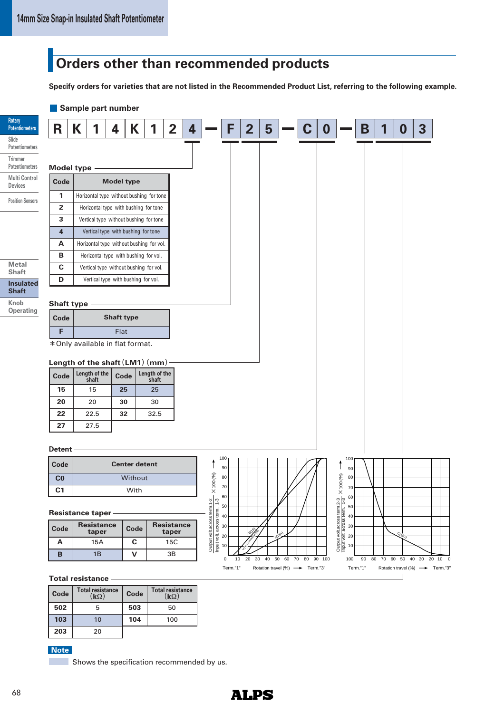## **Orders other than recommended products**

**Specify orders for varieties that are not listed in the Recommended Product List, referring to the following example.**



Shows the specification recommended by us. **Note**

20

**203**

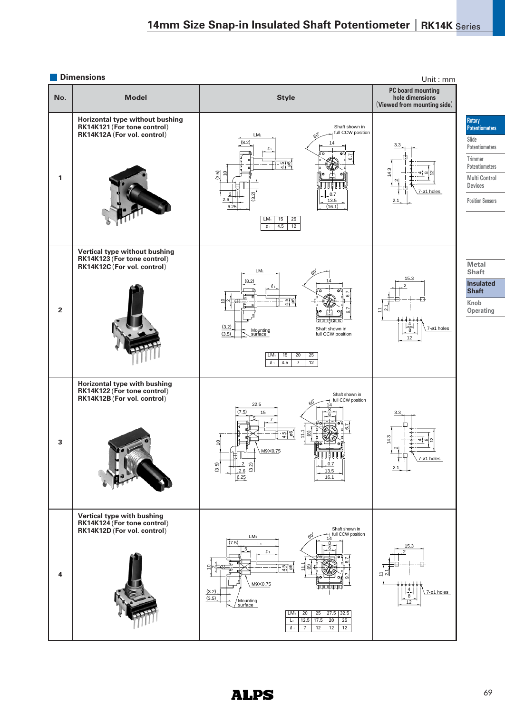